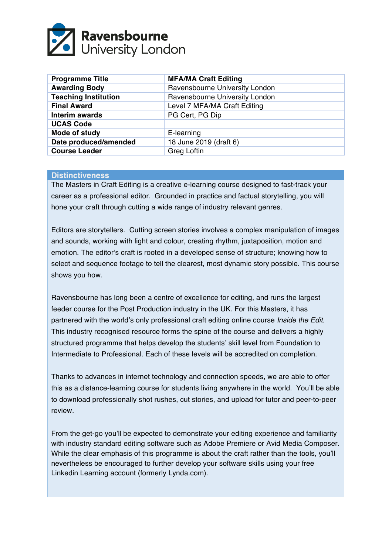

| <b>Programme Title</b>      | <b>MFA/MA Craft Editing</b>    |  |
|-----------------------------|--------------------------------|--|
| <b>Awarding Body</b>        | Ravensbourne University London |  |
| <b>Teaching Institution</b> | Ravensbourne University London |  |
| <b>Final Award</b>          | Level 7 MFA/MA Craft Editing   |  |
| <b>Interim awards</b>       | PG Cert, PG Dip                |  |
| <b>UCAS Code</b>            |                                |  |
| Mode of study               | E-learning                     |  |
| Date produced/amended       | 18 June 2019 (draft 6)         |  |
| <b>Course Leader</b>        | <b>Greg Loftin</b>             |  |

#### **Distinctiveness**

The Masters in Craft Editing is a creative e-learning course designed to fast-track your career as a professional editor. Grounded in practice and factual storytelling, you will hone your craft through cutting a wide range of industry relevant genres.

Editors are storytellers. Cutting screen stories involves a complex manipulation of images and sounds, working with light and colour, creating rhythm, juxtaposition, motion and emotion. The editor's craft is rooted in a developed sense of structure; knowing how to select and sequence footage to tell the clearest, most dynamic story possible. This course shows you how.

Ravensbourne has long been a centre of excellence for editing, and runs the largest feeder course for the Post Production industry in the UK. For this Masters, it has partnered with the world's only professional craft editing online course *Inside the Edit*. This industry recognised resource forms the spine of the course and delivers a highly structured programme that helps develop the students' skill level from Foundation to Intermediate to Professional. Each of these levels will be accredited on completion.

Thanks to advances in internet technology and connection speeds, we are able to offer this as a distance-learning course for students living anywhere in the world. You'll be able to download professionally shot rushes, cut stories, and upload for tutor and peer-to-peer review.

From the get-go you'll be expected to demonstrate your editing experience and familiarity with industry standard editing software such as Adobe Premiere or Avid Media Composer. While the clear emphasis of this programme is about the craft rather than the tools, you'll nevertheless be encouraged to further develop your software skills using your free Linkedin Learning account (formerly Lynda.com).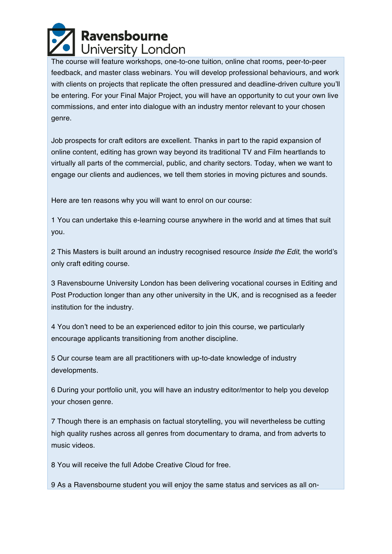

The course will feature workshops, one-to-one tuition, online chat rooms, peer-to-peer feedback, and master class webinars. You will develop professional behaviours, and work with clients on projects that replicate the often pressured and deadline-driven culture you'll be entering. For your Final Major Project, you will have an opportunity to cut your own live commissions, and enter into dialogue with an industry mentor relevant to your chosen genre.

Job prospects for craft editors are excellent. Thanks in part to the rapid expansion of online content, editing has grown way beyond its traditional TV and Film heartlands to virtually all parts of the commercial, public, and charity sectors. Today, when we want to engage our clients and audiences, we tell them stories in moving pictures and sounds.

Here are ten reasons why you will want to enrol on our course:

1 You can undertake this e-learning course anywhere in the world and at times that suit you.

2 This Masters is built around an industry recognised resource *Inside the Edit*, the world's only craft editing course.

3 Ravensbourne University London has been delivering vocational courses in Editing and Post Production longer than any other university in the UK, and is recognised as a feeder institution for the industry.

4 You don't need to be an experienced editor to join this course, we particularly encourage applicants transitioning from another discipline.

5 Our course team are all practitioners with up-to-date knowledge of industry developments.

6 During your portfolio unit, you will have an industry editor/mentor to help you develop your chosen genre.

7 Though there is an emphasis on factual storytelling, you will nevertheless be cutting high quality rushes across all genres from documentary to drama, and from adverts to music videos.

8 You will receive the full Adobe Creative Cloud for free.

9 As a Ravensbourne student you will enjoy the same status and services as all on-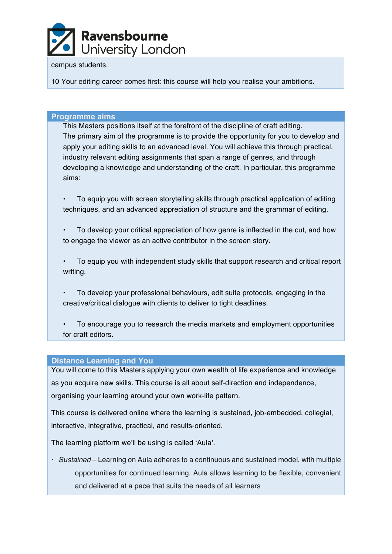

#### campus students.

10 Your editing career comes first: this course will help you realise your ambitions.

#### **Programme aims**

This Masters positions itself at the forefront of the discipline of craft editing. The primary aim of the programme is to provide the opportunity for you to develop and apply your editing skills to an advanced level. You will achieve this through practical, industry relevant editing assignments that span a range of genres, and through developing a knowledge and understanding of the craft. In particular, this programme aims:

• To equip you with screen storytelling skills through practical application of editing techniques, and an advanced appreciation of structure and the grammar of editing.

• To develop your critical appreciation of how genre is inflected in the cut, and how to engage the viewer as an active contributor in the screen story.

• To equip you with independent study skills that support research and critical report writing.

• To develop your professional behaviours, edit suite protocols, engaging in the creative/critical dialogue with clients to deliver to tight deadlines.

• To encourage you to research the media markets and employment opportunities for craft editors.

#### **Distance Learning and You**

You will come to this Masters applying your own wealth of life experience and knowledge as you acquire new skills. This course is all about self-direction and independence, organising your learning around your own work-life pattern.

This course is delivered online where the learning is sustained, job-embedded, collegial, interactive, integrative, practical, and results-oriented.

The learning platform we'll be using is called 'Aula'.

• *Sustained* – Learning on Aula adheres to a continuous and sustained model, with multiple opportunities for continued learning. Aula allows learning to be flexible, convenient and delivered at a pace that suits the needs of all learners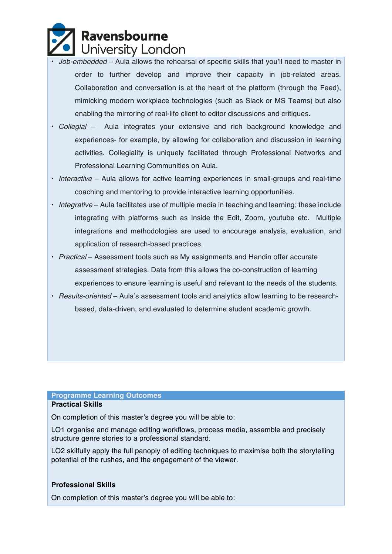

- *Job-embedded* Aula allows the rehearsal of specific skills that you'll need to master in order to further develop and improve their capacity in job-related areas. Collaboration and conversation is at the heart of the platform (through the Feed), mimicking modern workplace technologies (such as Slack or MS Teams) but also enabling the mirroring of real-life client to editor discussions and critiques.
- *Collegial* Aula integrates your extensive and rich background knowledge and experiences- for example, by allowing for collaboration and discussion in learning activities. Collegiality is uniquely facilitated through Professional Networks and Professional Learning Communities on Aula.
- *Interactive* Aula allows for active learning experiences in small-groups and real-time coaching and mentoring to provide interactive learning opportunities.
- *Integrative* Aula facilitates use of multiple media in teaching and learning; these include integrating with platforms such as Inside the Edit*,* Zoom, youtube etc. Multiple integrations and methodologies are used to encourage analysis, evaluation, and application of research-based practices.
- *Practical* Assessment tools such as My assignments and Handin offer accurate assessment strategies. Data from this allows the co-construction of learning experiences to ensure learning is useful and relevant to the needs of the students.
- *Results-oriented* Aula's assessment tools and analytics allow learning to be researchbased, data-driven, and evaluated to determine student academic growth.

#### **Programme Learning Outcomes**

#### **Practical Skills**

On completion of this master's degree you will be able to:

LO1 organise and manage editing workflows, process media, assemble and precisely structure genre stories to a professional standard.

LO2 skilfully apply the full panoply of editing techniques to maximise both the storytelling potential of the rushes, and the engagement of the viewer.

#### **Professional Skills**

On completion of this master's degree you will be able to: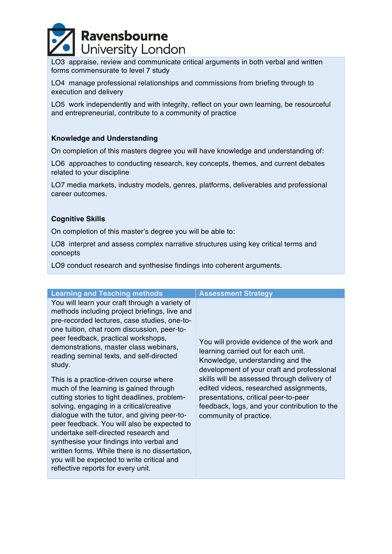

LO3 appraise, review and communicate critical arguments in both verbal and written forms commensurate to level 7 study

LO4 manage professional relationships and commissions from briefing through to execution and delivery

LO5 work independently and with integrity, reflect on your own learning, be resourceful and entrepreneurial, contribute to a community of practice

#### **Knowledge and Understanding**

On completion of this masters degree you will have knowledge and understanding of:

LO6 approaches to conducting research, key concepts, themes, and current debates related to your discipline

LO7 media markets, industry models, genres, platforms, deliverables and professional career outcomes.

#### **Cognitive Skills**

On completion of this master's degree you will be able to:

LO8 interpret and assess complex narrative structures using key critical terms and concepts

LO9 conduct research and synthesise findings into coherent arguments.

| <b>Learning and Teaching methods</b>                                                                                                                                                                                                                                                                                                                                                                                                                                                                                                                                                                                                                                                                                                                                                                                                           | <b>Assessment Strategy</b>                                                                                                                                                                                                                                                                                                                                                    |
|------------------------------------------------------------------------------------------------------------------------------------------------------------------------------------------------------------------------------------------------------------------------------------------------------------------------------------------------------------------------------------------------------------------------------------------------------------------------------------------------------------------------------------------------------------------------------------------------------------------------------------------------------------------------------------------------------------------------------------------------------------------------------------------------------------------------------------------------|-------------------------------------------------------------------------------------------------------------------------------------------------------------------------------------------------------------------------------------------------------------------------------------------------------------------------------------------------------------------------------|
| You will learn your craft through a variety of<br>methods including project briefings, live and<br>pre-recorded lectures, case studies, one-to-<br>one tuition, chat room discussion, peer-to-<br>peer feedback, practical workshops,<br>demonstrations, master class webinars,<br>reading seminal texts, and self-directed<br>study.<br>This is a practice-driven course where<br>much of the learning is gained through<br>cutting stories to tight deadlines, problem-<br>solving, engaging in a critical/creative<br>dialogue with the tutor, and giving peer-to-<br>peer feedback. You will also be expected to<br>undertake self-directed research and<br>synthesise your findings into verbal and<br>written forms. While there is no dissertation,<br>you will be expected to write critical and<br>reflective reports for every unit. | You will provide evidence of the work and<br>learning carried out for each unit.<br>Knowledge, understanding and the<br>development of your craft and professional<br>skills will be assessed through delivery of<br>edited videos, researched assignments,<br>presentations, critical peer-to-peer<br>feedback, logs, and your contribution to the<br>community of practice. |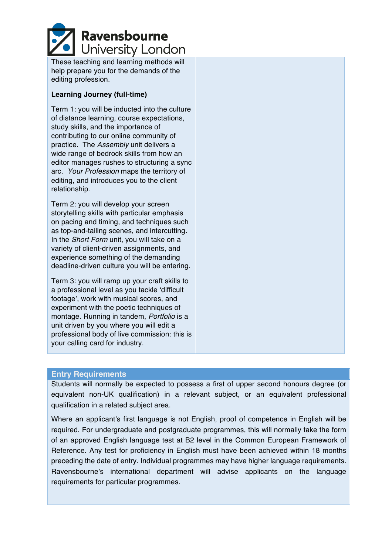

These teaching and learning methods will help prepare you for the demands of the editing profession.

#### **Learning Journey (full-time)**

Term 1: you will be inducted into the culture of distance learning, course expectations, study skills, and the importance of contributing to our online community of practice. The *Assembly* unit delivers a wide range of bedrock skills from how an editor manages rushes to structuring a sync arc. *Your Profession* maps the territory of editing, and introduces you to the client relationship.

Term 2: you will develop your screen storytelling skills with particular emphasis on pacing and timing, and techniques such as top-and-tailing scenes, and intercutting. In the *Short Form* unit, you will take on a variety of client-driven assignments, and experience something of the demanding deadline-driven culture you will be entering.

Term 3: you will ramp up your craft skills to a professional level as you tackle 'difficult footage', work with musical scores, and experiment with the poetic techniques of montage. Running in tandem, *Portfolio* is a unit driven by you where you will edit a professional body of live commission: this is your calling card for industry.

#### **Entry Requirements**

Students will normally be expected to possess a first of upper second honours degree (or equivalent non-UK qualification) in a relevant subject, or an equivalent professional qualification in a related subject area.

Where an applicant's first language is not English, proof of competence in English will be required. For undergraduate and postgraduate programmes, this will normally take the form of an approved English language test at B2 level in the Common European Framework of Reference. Any test for proficiency in English must have been achieved within 18 months preceding the date of entry. Individual programmes may have higher language requirements. Ravensbourne's international department will advise applicants on the language requirements for particular programmes.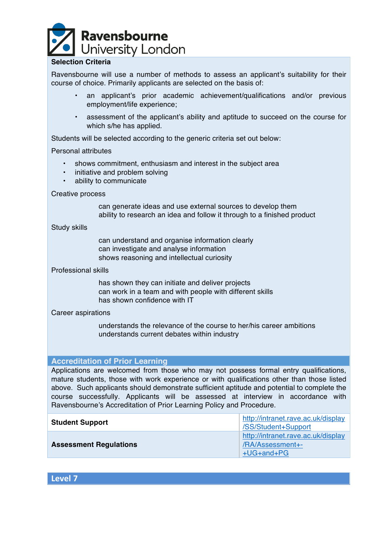

### **Selection Criteria**

Ravensbourne will use a number of methods to assess an applicant's suitability for their course of choice. Primarily applicants are selected on the basis of:

- an applicant's prior academic achievement/qualifications and/or previous employment/life experience;
- assessment of the applicant's ability and aptitude to succeed on the course for which s/he has applied.

Students will be selected according to the generic criteria set out below:

#### Personal attributes

- shows commitment, enthusiasm and interest in the subject area
- initiative and problem solving
- ability to communicate

#### Creative process

can generate ideas and use external sources to develop them ability to research an idea and follow it through to a finished product

#### Study skills

can understand and organise information clearly can investigate and analyse information shows reasoning and intellectual curiosity

#### Professional skills

has shown they can initiate and deliver projects can work in a team and with people with different skills has shown confidence with IT

#### Career aspirations

understands the relevance of the course to her/his career ambitions understands current debates within industry

#### **Accreditation of Prior Learning**

Applications are welcomed from those who may not possess formal entry qualifications, mature students, those with work experience or with qualifications other than those listed above. Such applicants should demonstrate sufficient aptitude and potential to complete the course successfully. Applicants will be assessed at interview in accordance with Ravensbourne's Accreditation of Prior Learning Policy and Procedure.

| <b>Student Support</b>        | http://intranet.rave.ac.uk/display<br>/SS/Student+Support            |  |
|-------------------------------|----------------------------------------------------------------------|--|
| <b>Assessment Regulations</b> | http://intranet.rave.ac.uk/display<br>/RA/Assessment+-<br>+UG+and+PG |  |

**Level 7**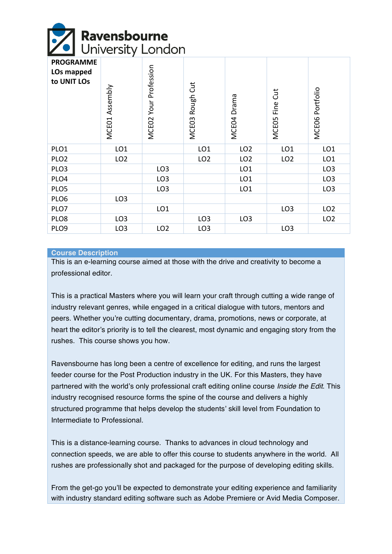# **Ravensbourne**<br>J University London

| <b>PROGRAMME</b><br>LOs mapped<br>to UNIT LOs | Assembly<br>MCE01 | Profession<br>Your<br>MCE <sub>02</sub> | Rough Cut<br>MCE <sub>03</sub> | MCE04 Drama     | Fine Cut<br><b>MCEO5</b> | Portfolio<br>MCE06 |
|-----------------------------------------------|-------------------|-----------------------------------------|--------------------------------|-----------------|--------------------------|--------------------|
| PLO1                                          | LO <sub>1</sub>   |                                         | LO <sub>1</sub>                | LO <sub>2</sub> | LO <sub>1</sub>          | LO <sub>1</sub>    |
| PLO <sub>2</sub>                              | LO <sub>2</sub>   |                                         | LO <sub>2</sub>                | LO <sub>2</sub> | LO <sub>2</sub>          | LO <sub>1</sub>    |
| PLO <sub>3</sub>                              |                   | LO <sub>3</sub>                         |                                | LO <sub>1</sub> |                          | LO <sub>3</sub>    |
| PLO4                                          |                   | LO <sub>3</sub>                         |                                | LO <sub>1</sub> |                          | LO <sub>3</sub>    |
| PLO5                                          |                   | LO <sub>3</sub>                         |                                | LO <sub>1</sub> |                          | LO <sub>3</sub>    |
| PLO6                                          | LO <sub>3</sub>   |                                         |                                |                 |                          |                    |
| PLO7                                          |                   | LO <sub>1</sub>                         |                                |                 | LO <sub>3</sub>          | LO <sub>2</sub>    |
| PLO8                                          | LO <sub>3</sub>   |                                         | LO <sub>3</sub>                | LO <sub>3</sub> |                          | LO <sub>2</sub>    |
| PLO9                                          | LO <sub>3</sub>   | LO <sub>2</sub>                         | LO <sub>3</sub>                |                 | LO <sub>3</sub>          |                    |

#### **Course Description**

This is an e-learning course aimed at those with the drive and creativity to become a professional editor.

This is a practical Masters where you will learn your craft through cutting a wide range of industry relevant genres, while engaged in a critical dialogue with tutors, mentors and peers. Whether you're cutting documentary, drama, promotions, news or corporate, at heart the editor's priority is to tell the clearest, most dynamic and engaging story from the rushes. This course shows you how.

Ravensbourne has long been a centre of excellence for editing, and runs the largest feeder course for the Post Production industry in the UK. For this Masters, they have partnered with the world's only professional craft editing online course *Inside the Edit*. This industry recognised resource forms the spine of the course and delivers a highly structured programme that helps develop the students' skill level from Foundation to Intermediate to Professional.

This is a distance-learning course. Thanks to advances in cloud technology and connection speeds, we are able to offer this course to students anywhere in the world. All rushes are professionally shot and packaged for the purpose of developing editing skills.

From the get-go you'll be expected to demonstrate your editing experience and familiarity with industry standard editing software such as Adobe Premiere or Avid Media Composer.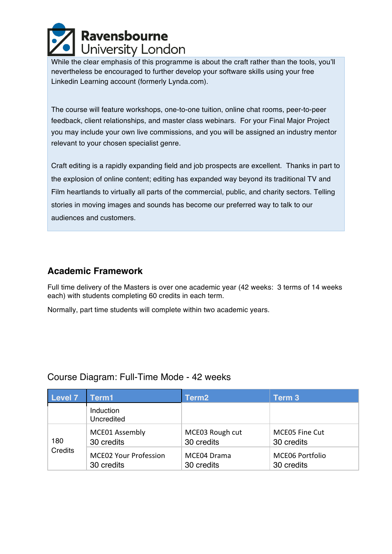

While the clear emphasis of this programme is about the craft rather than the tools, you'll nevertheless be encouraged to further develop your software skills using your free Linkedin Learning account (formerly Lynda.com).

The course will feature workshops, one-to-one tuition, online chat rooms, peer-to-peer feedback, client relationships, and master class webinars. For your Final Major Project you may include your own live commissions, and you will be assigned an industry mentor relevant to your chosen specialist genre.

Craft editing is a rapidly expanding field and job prospects are excellent. Thanks in part to the explosion of online content; editing has expanded way beyond its traditional TV and Film heartlands to virtually all parts of the commercial, public, and charity sectors. Telling stories in moving images and sounds has become our preferred way to talk to our audiences and customers.

## **Academic Framework**

Full time delivery of the Masters is over one academic year (42 weeks: 3 terms of 14 weeks each) with students completing 60 credits in each term.

Normally, part time students will complete within two academic years.

## Course Diagram: Full-Time Mode - 42 weeks

| Level 7        | Term1                                      | Term <sub>2</sub>             | Term 3                               |
|----------------|--------------------------------------------|-------------------------------|--------------------------------------|
|                | Induction<br>Uncredited                    |                               |                                      |
| 180<br>Credits | MCE01 Assembly<br>30 credits               | MCE03 Rough cut<br>30 credits | <b>MCE05 Fine Cut</b><br>30 credits  |
|                | <b>MCE02 Your Profession</b><br>30 credits | MCE04 Drama<br>30 credits     | <b>MCE06 Portfolio</b><br>30 credits |